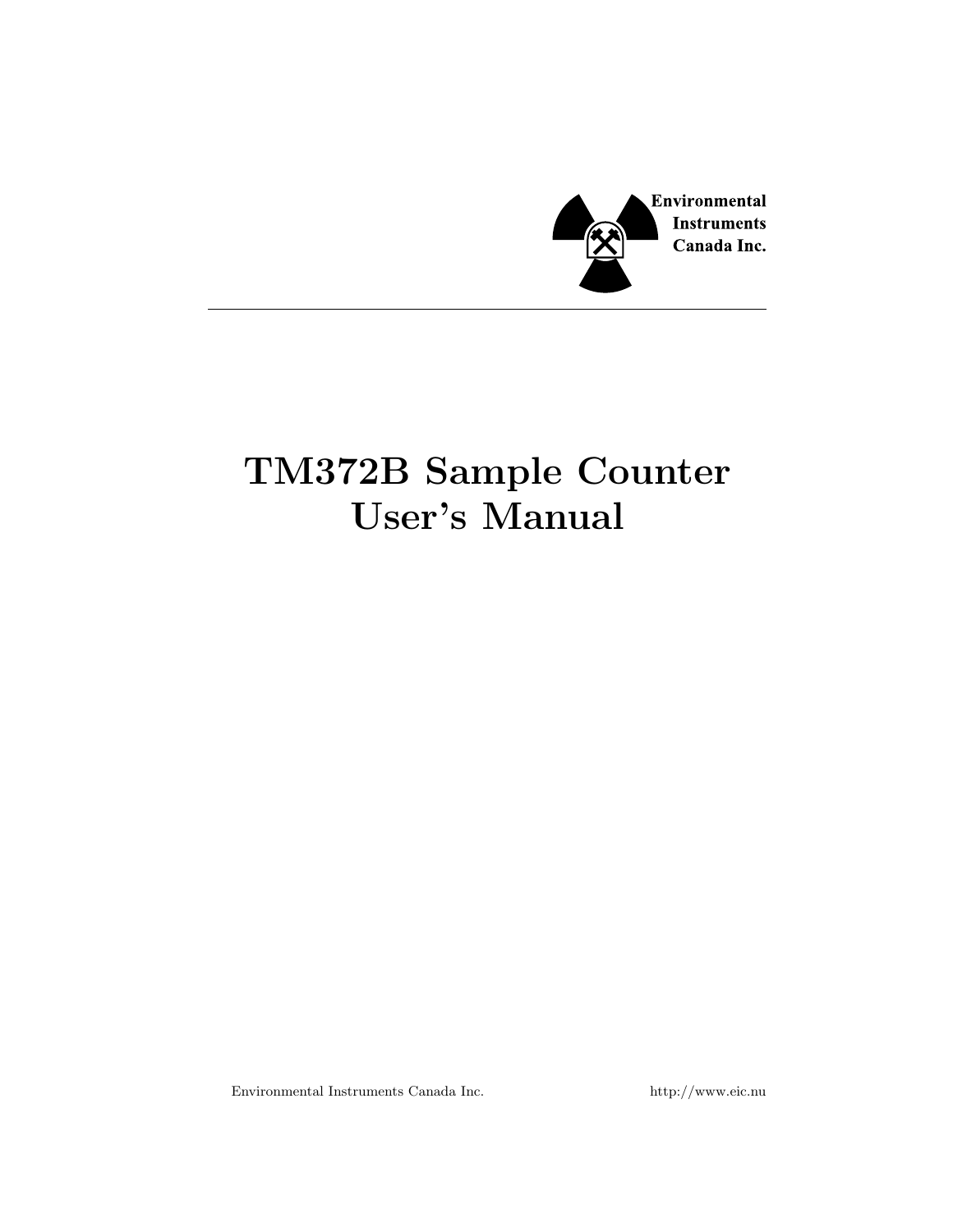

# TM372B Sample Counter User's Manual

Environmental Instruments Canada Inc. http://www.eic.nu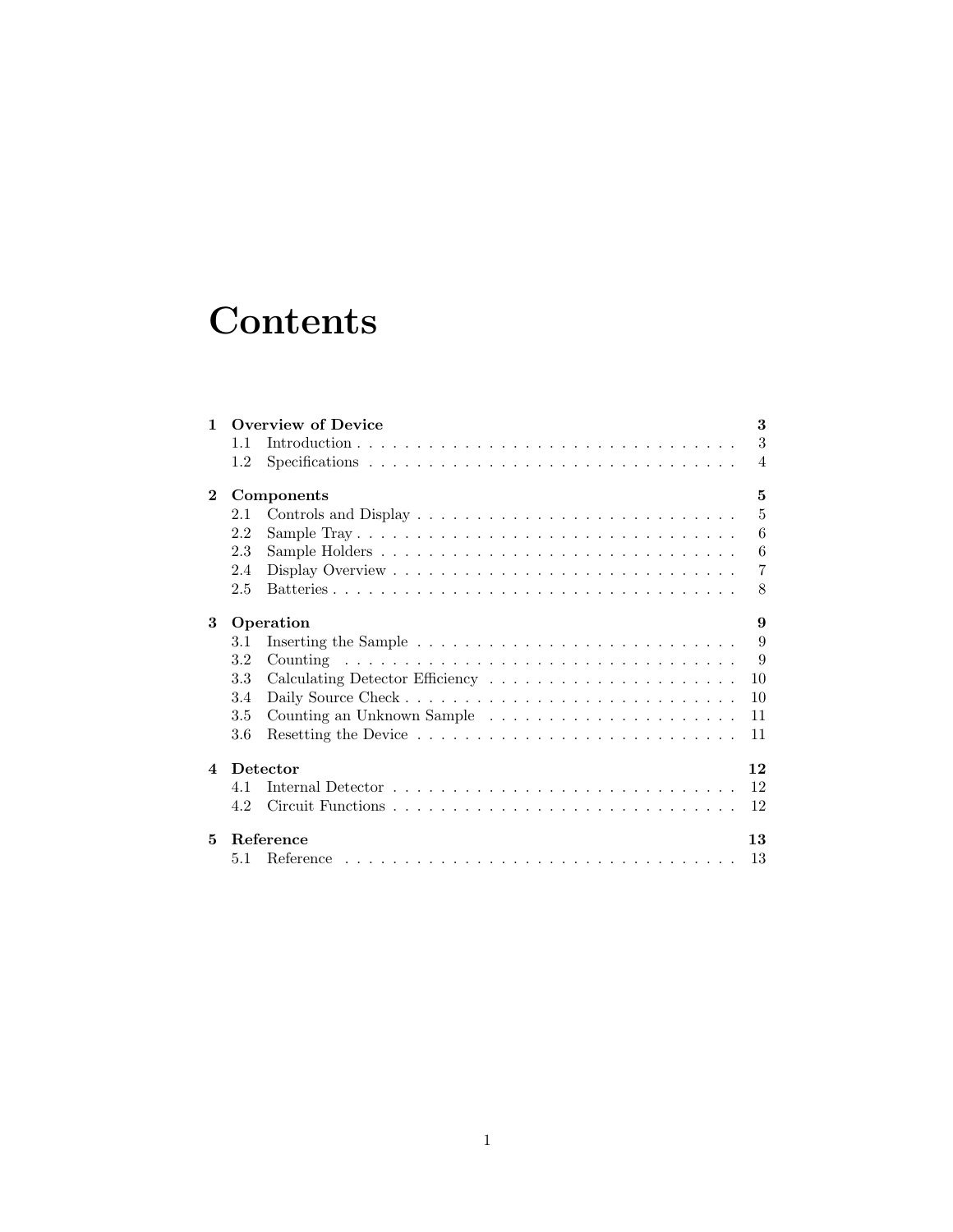# **Contents**

| $\mathbf{1}$   | <b>Overview of Device</b> |  |                |  |
|----------------|---------------------------|--|----------------|--|
|                | 1.1                       |  | 3              |  |
|                | 1.2                       |  | $\overline{4}$ |  |
| $\mathbf{2}$   | 5<br>Components           |  |                |  |
|                | 2.1                       |  | $\overline{5}$ |  |
|                | 2.2                       |  | 6              |  |
|                | 2.3                       |  | 6              |  |
|                | 2.4                       |  | 7              |  |
|                | 2.5                       |  | 8              |  |
| 3              | Operation<br>9            |  |                |  |
|                | 3.1                       |  | 9              |  |
|                | 3.2                       |  | 9              |  |
|                | 3.3                       |  | 10             |  |
|                | 3.4                       |  | 10             |  |
|                | 3.5                       |  | 11             |  |
|                | 3.6                       |  | 11             |  |
| $\overline{4}$ | Detector<br>12            |  |                |  |
|                | 4.1                       |  | 12             |  |
|                | 4.2                       |  | 12             |  |
| 5.             | Reference<br>13           |  |                |  |
|                | 5.1                       |  | 13             |  |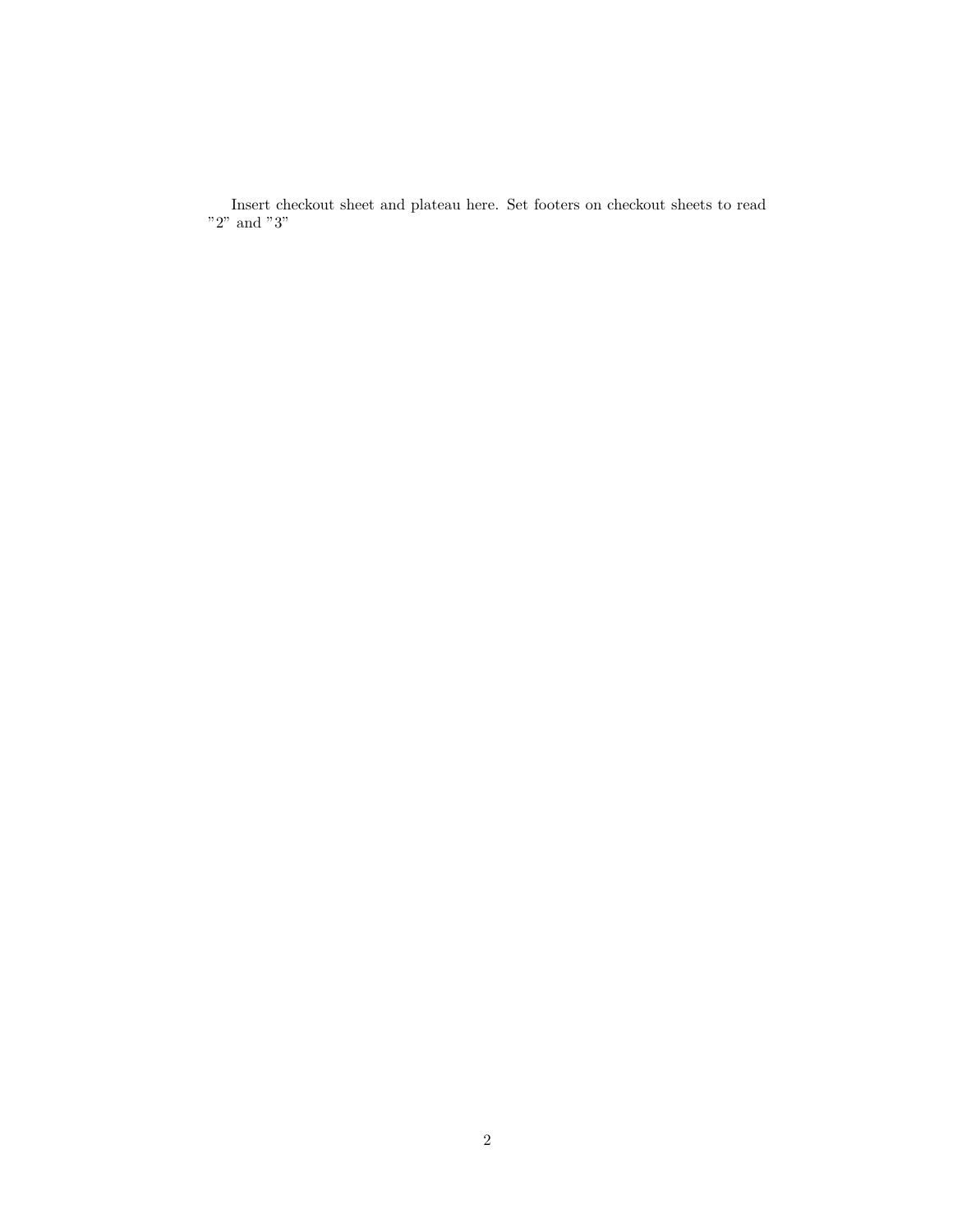Insert checkout sheet and plateau here. Set footers on checkout sheets to read "2" and "3"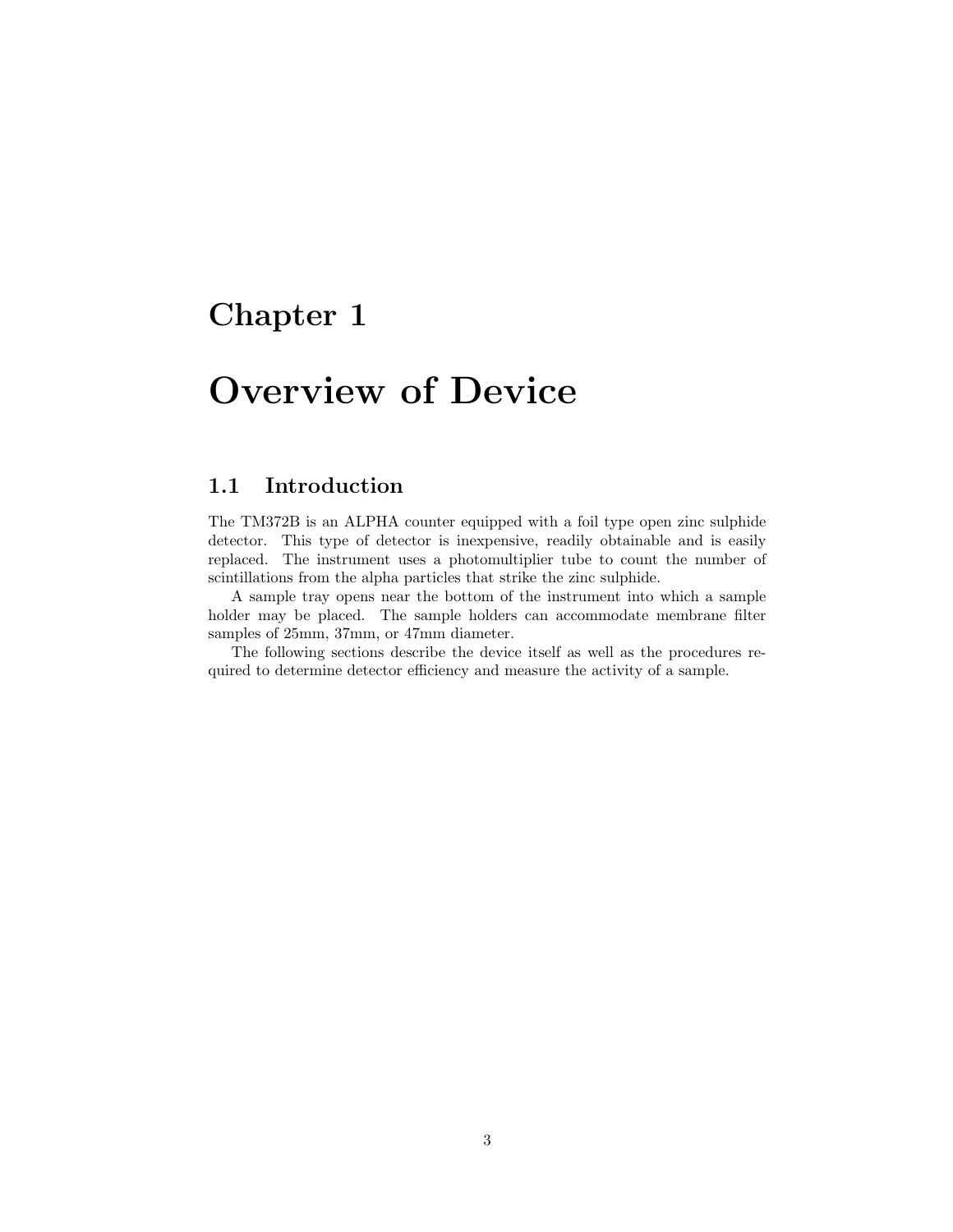## <span id="page-3-0"></span>Overview of Device

#### <span id="page-3-1"></span>1.1 Introduction

The TM372B is an ALPHA counter equipped with a foil type open zinc sulphide detector. This type of detector is inexpensive, readily obtainable and is easily replaced. The instrument uses a photomultiplier tube to count the number of scintillations from the alpha particles that strike the zinc sulphide.

A sample tray opens near the bottom of the instrument into which a sample holder may be placed. The sample holders can accommodate membrane filter samples of 25mm, 37mm, or 47mm diameter.

The following sections describe the device itself as well as the procedures required to determine detector efficiency and measure the activity of a sample.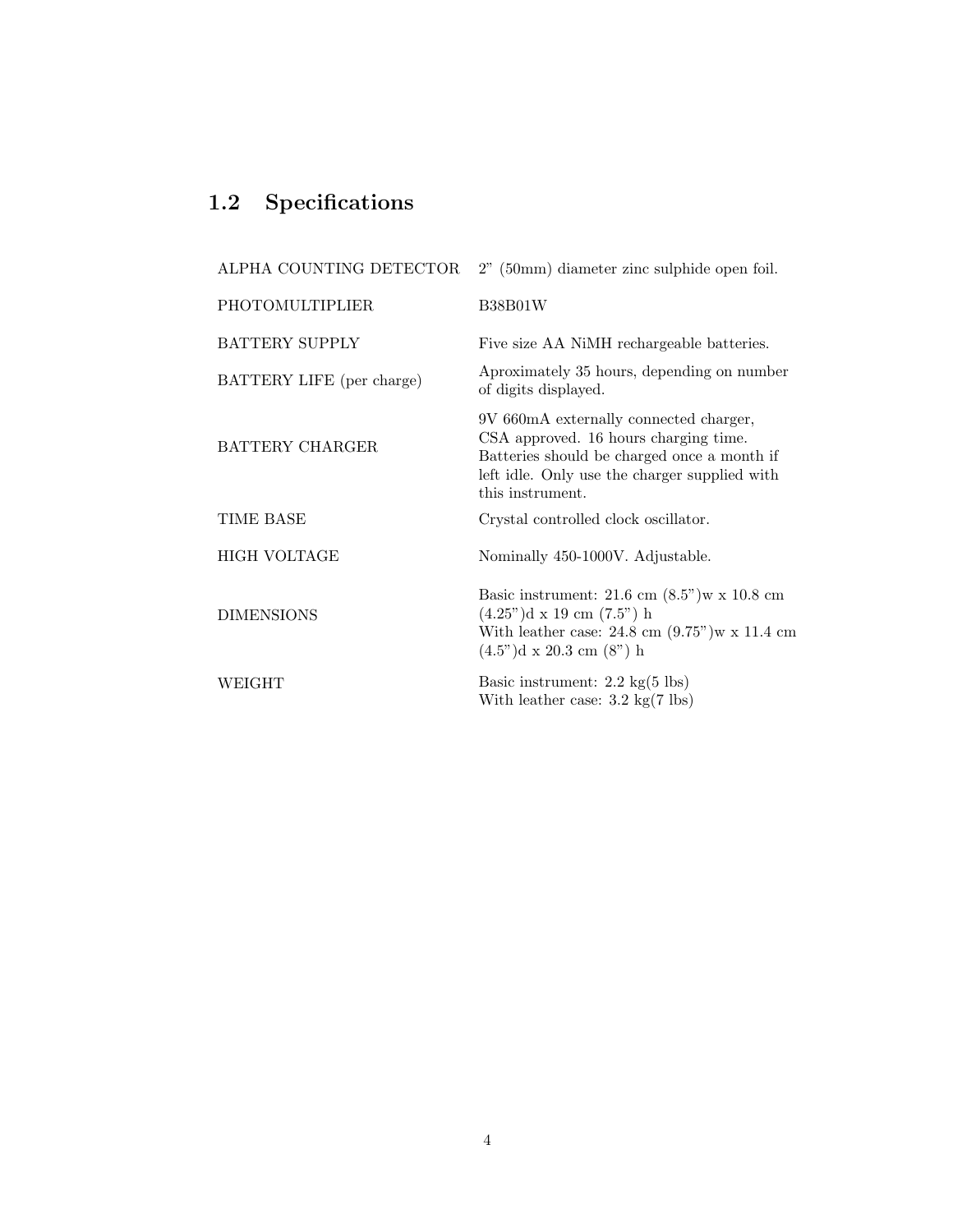### <span id="page-4-0"></span>1.2 Specifications

| ALPHA COUNTING DETECTOR   | $2"$ (50mm) diameter zinc sulphide open foil.                                                                                                                                                                                         |
|---------------------------|---------------------------------------------------------------------------------------------------------------------------------------------------------------------------------------------------------------------------------------|
| PHOTOMULTIPLIER           | <b>B38B01W</b>                                                                                                                                                                                                                        |
| <b>BATTERY SUPPLY</b>     | Five size AA NiMH rechargeable batteries.                                                                                                                                                                                             |
| BATTERY LIFE (per charge) | Aproximately 35 hours, depending on number<br>of digits displayed.                                                                                                                                                                    |
| <b>BATTERY CHARGER</b>    | 9V 660mA externally connected charger,<br>CSA approved. 16 hours charging time.<br>Batteries should be charged once a month if<br>left idle. Only use the charger supplied with<br>this instrument.                                   |
| TIME BASE                 | Crystal controlled clock oscillator.                                                                                                                                                                                                  |
| <b>HIGH VOLTAGE</b>       | Nominally 450-1000V. Adjustable.                                                                                                                                                                                                      |
| <b>DIMENSIONS</b>         | Basic instrument: $21.6 \text{ cm } (8.5)$ <sup>"</sup> ) w x $10.8 \text{ cm}$<br>$(4.25^{\circ})d \times 19$ cm $(7.5^{\circ})$ h<br>With leather case: $24.8 \text{ cm } (9.75)$ " w x 11.4 cm<br>$(4.5")d \times 20.3$ cm $(8")h$ |
| WEIGHT                    | Basic instrument: $2.2 \text{ kg}(5 \text{ lbs})$<br>With leather case: $3.2 \text{ kg}(7 \text{ lbs})$                                                                                                                               |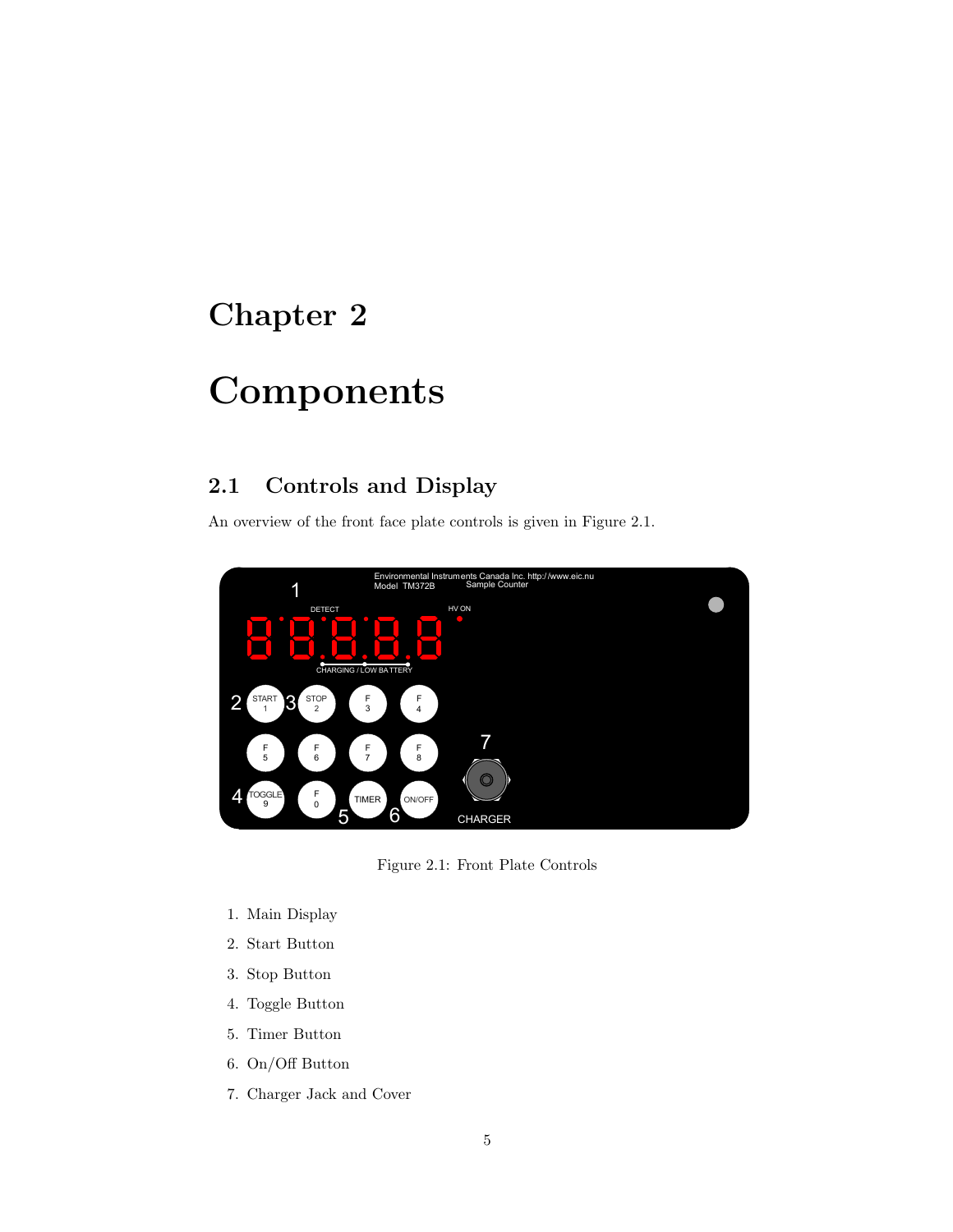## <span id="page-5-0"></span>Components

#### <span id="page-5-1"></span>2.1 Controls and Display

An overview of the front face plate controls is given in [Figure 2.1.](#page-5-2)



<span id="page-5-2"></span>Figure 2.1: Front Plate Controls

- 1. Main Display
- 2. Start Button
- 3. Stop Button
- 4. Toggle Button
- 5. Timer Button
- 6. On/Off Button
- 7. Charger Jack and Cover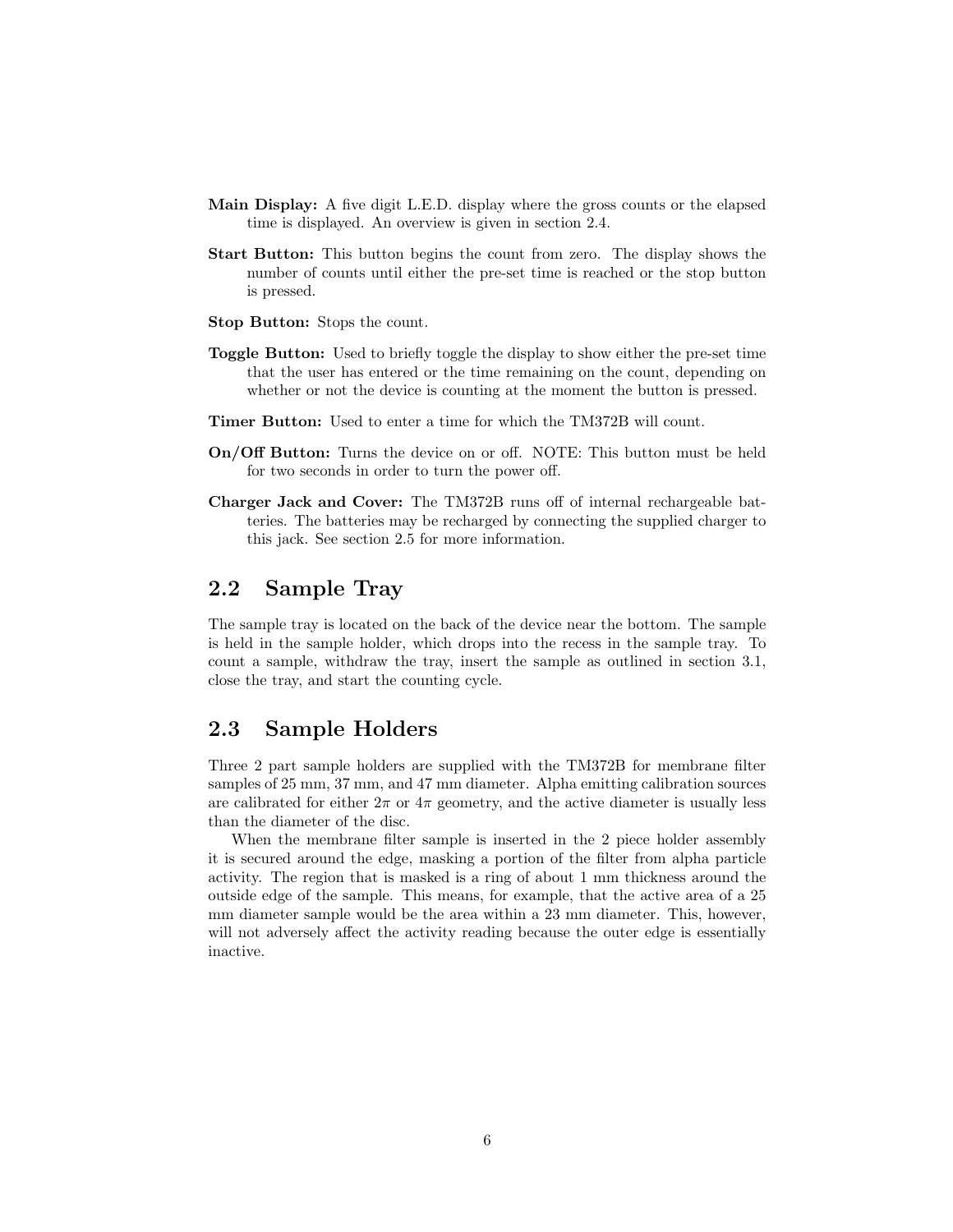- Main Display: A five digit L.E.D. display where the gross counts or the elapsed time is displayed. An overview is given in [section 2.4.](#page-7-0)
- Start Button: This button begins the count from zero. The display shows the number of counts until either the pre-set time is reached or the stop button is pressed.
- Stop Button: Stops the count.
- Toggle Button: Used to briefly toggle the display to show either the pre-set time that the user has entered or the time remaining on the count, depending on whether or not the device is counting at the moment the button is pressed.
- Timer Button: Used to enter a time for which the TM372B will count.
- On/Off Button: Turns the device on or off. NOTE: This button must be held for two seconds in order to turn the power off.
- Charger Jack and Cover: The TM372B runs off of internal rechargeable batteries. The batteries may be recharged by connecting the supplied charger to this jack. See [section 2.5](#page-8-0) for more information.

#### <span id="page-6-0"></span>2.2 Sample Tray

The sample tray is located on the back of the device near the bottom. The sample is held in the sample holder, which drops into the recess in the sample tray. To count a sample, withdraw the tray, insert the sample as outlined in [section 3.1,](#page-9-1) close the tray, and start the counting cycle.

#### <span id="page-6-1"></span>2.3 Sample Holders

Three 2 part sample holders are supplied with the TM372B for membrane filter samples of 25 mm, 37 mm, and 47 mm diameter. Alpha emitting calibration sources are calibrated for either  $2\pi$  or  $4\pi$  geometry, and the active diameter is usually less than the diameter of the disc.

When the membrane filter sample is inserted in the 2 piece holder assembly it is secured around the edge, masking a portion of the filter from alpha particle activity. The region that is masked is a ring of about 1 mm thickness around the outside edge of the sample. This means, for example, that the active area of a 25 mm diameter sample would be the area within a 23 mm diameter. This, however, will not adversely affect the activity reading because the outer edge is essentially inactive.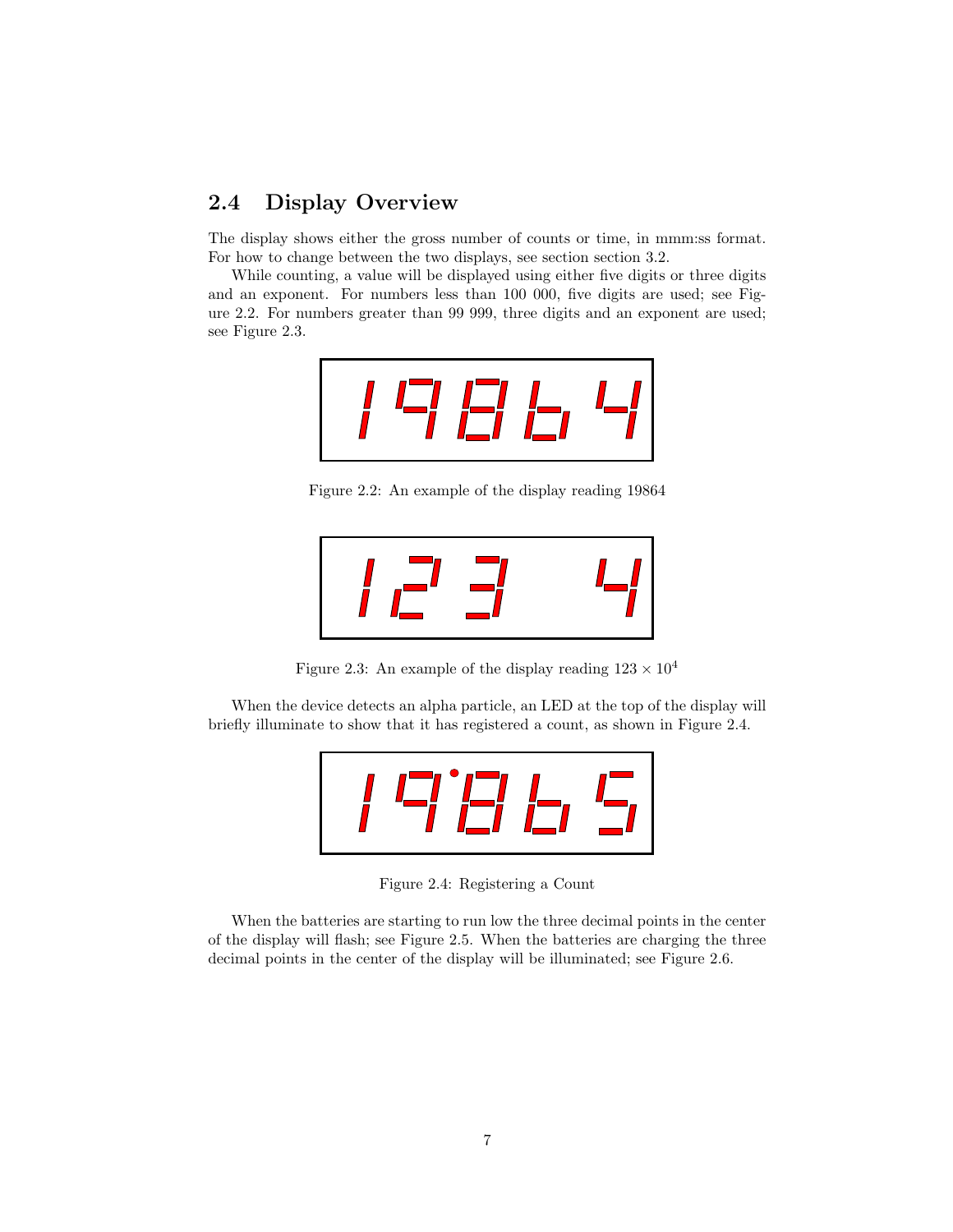#### <span id="page-7-0"></span>2.4 Display Overview

The display shows either the gross number of counts or time, in mmm:ss format. For how to change between the two displays, see section [section 3.2.](#page-9-2)

While counting, a value will be displayed using either five digits or three digits and an exponent. For numbers less than 100 000, five digits are used; see [Fig](#page-7-1)[ure 2.2.](#page-7-1) For numbers greater than 99 999, three digits and an exponent are used; see [Figure 2.3.](#page-7-2)



<span id="page-7-1"></span>Figure 2.2: An example of the display reading 19864

$$
|I\sqsubset I \sqsupseteq I|
$$

<span id="page-7-2"></span>Figure 2.3: An example of the display reading  $123 \times 10^4$ 

When the device detects an alpha particle, an LED at the top of the display will briefly illuminate to show that it has registered a count, as shown in [Figure 2.4.](#page-7-3)

<span id="page-7-3"></span>

Figure 2.4: Registering a Count

When the batteries are starting to run low the three decimal points in the center of the display will flash; see [Figure 2.5.](#page-8-1) When the batteries are charging the three decimal points in the center of the display will be illuminated; see [Figure 2.6.](#page-8-2)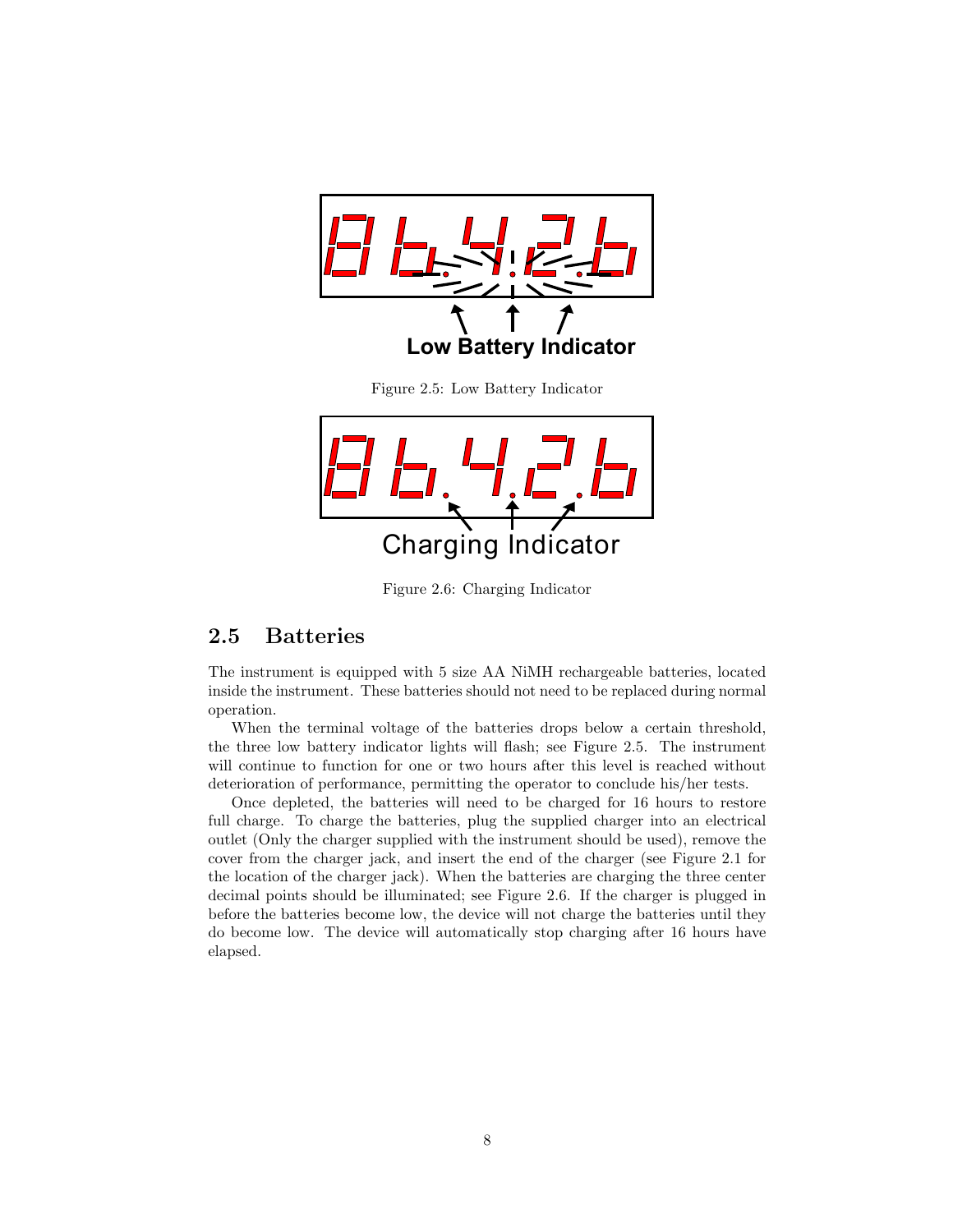

Charging Indicator

<span id="page-8-2"></span><span id="page-8-1"></span>Figure 2.6: Charging Indicator

#### <span id="page-8-0"></span>2.5 Batteries

The instrument is equipped with 5 size AA NiMH rechargeable batteries, located inside the instrument. These batteries should not need to be replaced during normal operation.

When the terminal voltage of the batteries drops below a certain threshold, the three low battery indicator lights will flash; see [Figure 2.5.](#page-8-1) The instrument will continue to function for one or two hours after this level is reached without deterioration of performance, permitting the operator to conclude his/her tests.

Once depleted, the batteries will need to be charged for 16 hours to restore full charge. To charge the batteries, plug the supplied charger into an electrical outlet (Only the charger supplied with the instrument should be used), remove the cover from the charger jack, and insert the end of the charger (see [Figure 2.1](#page-5-2) for the location of the charger jack). When the batteries are charging the three center decimal points should be illuminated; see [Figure 2.6.](#page-8-2) If the charger is plugged in before the batteries become low, the device will not charge the batteries until they do become low. The device will automatically stop charging after 16 hours have elapsed.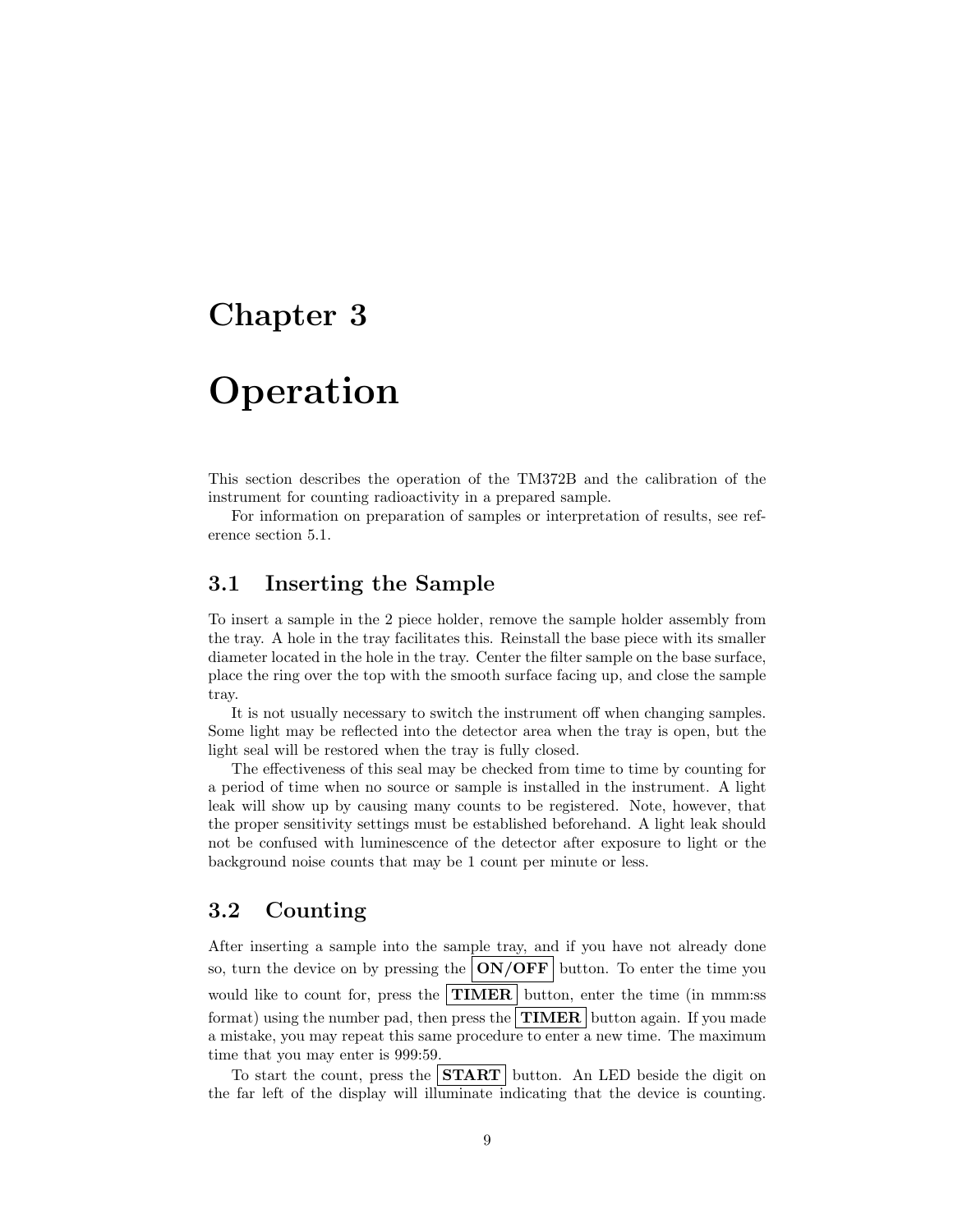## <span id="page-9-0"></span>**Operation**

This section describes the operation of the TM372B and the calibration of the instrument for counting radioactivity in a prepared sample.

For information on preparation of samples or interpretation of results, see reference [section 5.1.](#page-13-1)

#### <span id="page-9-1"></span>3.1 Inserting the Sample

To insert a sample in the 2 piece holder, remove the sample holder assembly from the tray. A hole in the tray facilitates this. Reinstall the base piece with its smaller diameter located in the hole in the tray. Center the filter sample on the base surface, place the ring over the top with the smooth surface facing up, and close the sample tray.

It is not usually necessary to switch the instrument off when changing samples. Some light may be reflected into the detector area when the tray is open, but the light seal will be restored when the tray is fully closed.

The effectiveness of this seal may be checked from time to time by counting for a period of time when no source or sample is installed in the instrument. A light leak will show up by causing many counts to be registered. Note, however, that the proper sensitivity settings must be established beforehand. A light leak should not be confused with luminescence of the detector after exposure to light or the background noise counts that may be 1 count per minute or less.

#### <span id="page-9-2"></span>3.2 Counting

After inserting a sample into the sample tray, and if you have not already done so, turn the device on by pressing the  $\text{ON}/\text{OFF}$  button. To enter the time you would like to count for, press the **TIMER** button, enter the time (in mmm:ss) format) using the number pad, then press the  $\vert$  **TIMER** button again. If you made a mistake, you may repeat this same procedure to enter a new time. The maximum time that you may enter is 999:59.

To start the count, press the  $START$  button. An LED beside the digit on the far left of the display will illuminate indicating that the device is counting.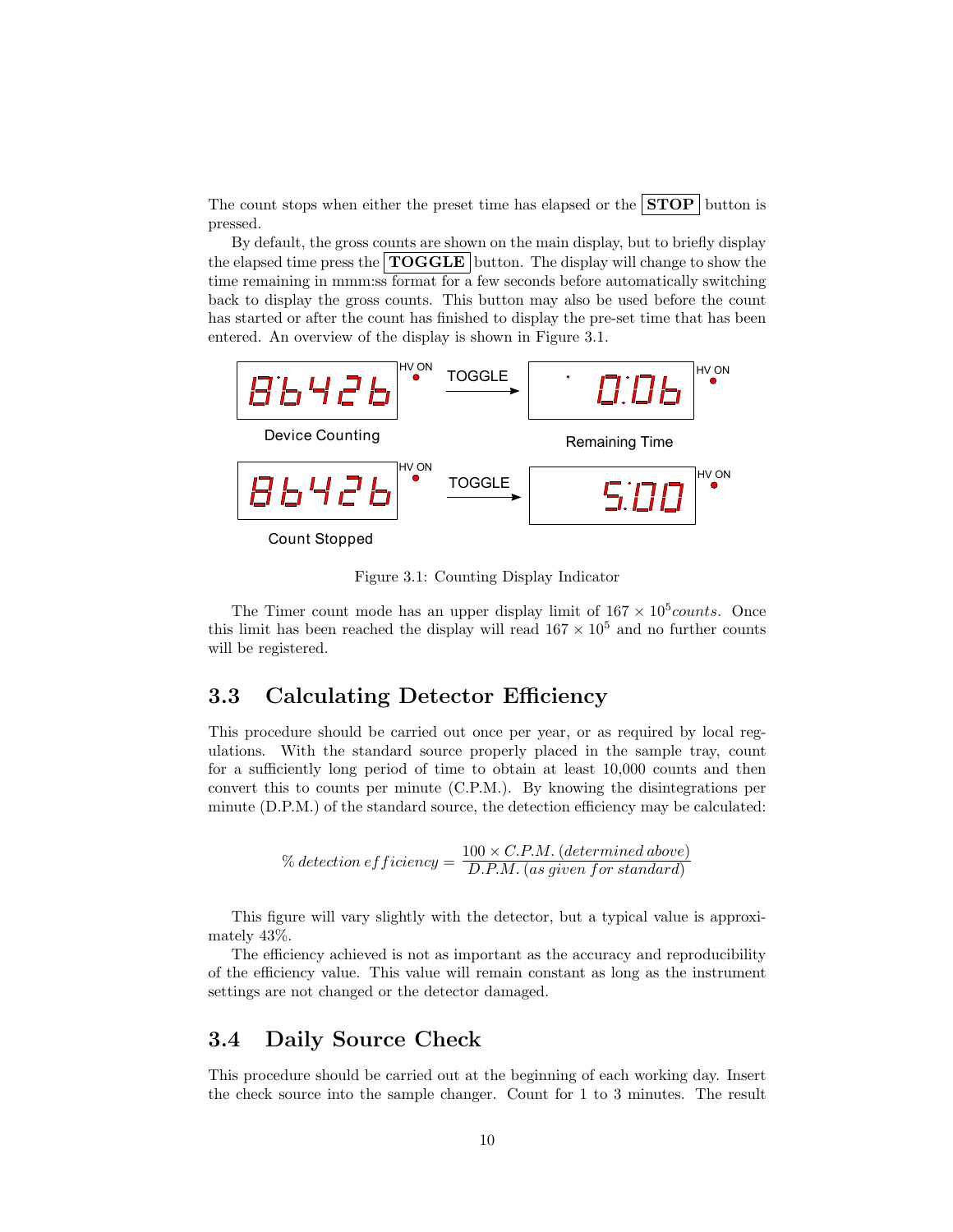The count stops when either the preset time has elapsed or the  $STOP$  button is pressed.

By default, the gross counts are shown on the main display, but to briefly display the elapsed time press the  $\text{TOGGLE}$  button. The display will change to show the time remaining in mmm:ss format for a few seconds before automatically switching back to display the gross counts. This button may also be used before the count has started or after the count has finished to display the pre-set time that has been entered. An overview of the display is shown in [Figure 3.1.](#page-10-2)



<span id="page-10-2"></span>Figure 3.1: Counting Display Indicator

The Timer count mode has an upper display limit of  $167 \times 10^5 \text{counts}$ . Once this limit has been reached the display will read  $167 \times 10^5$  and no further counts will be registered.

#### <span id="page-10-0"></span>3.3 Calculating Detector Efficiency

This procedure should be carried out once per year, or as required by local regulations. With the standard source properly placed in the sample tray, count for a sufficiently long period of time to obtain at least 10,000 counts and then convert this to counts per minute (C.P.M.). By knowing the disintegrations per minute (D.P.M.) of the standard source, the detection efficiency may be calculated:

$$
\%~detection~efficiency = \frac{100 \times C.P.M.~(determined~above)}{D.P.M.~(as~given~for~standard)}
$$

This figure will vary slightly with the detector, but a typical value is approximately 43%.

The efficiency achieved is not as important as the accuracy and reproducibility of the efficiency value. This value will remain constant as long as the instrument settings are not changed or the detector damaged.

#### <span id="page-10-1"></span>3.4 Daily Source Check

This procedure should be carried out at the beginning of each working day. Insert the check source into the sample changer. Count for 1 to 3 minutes. The result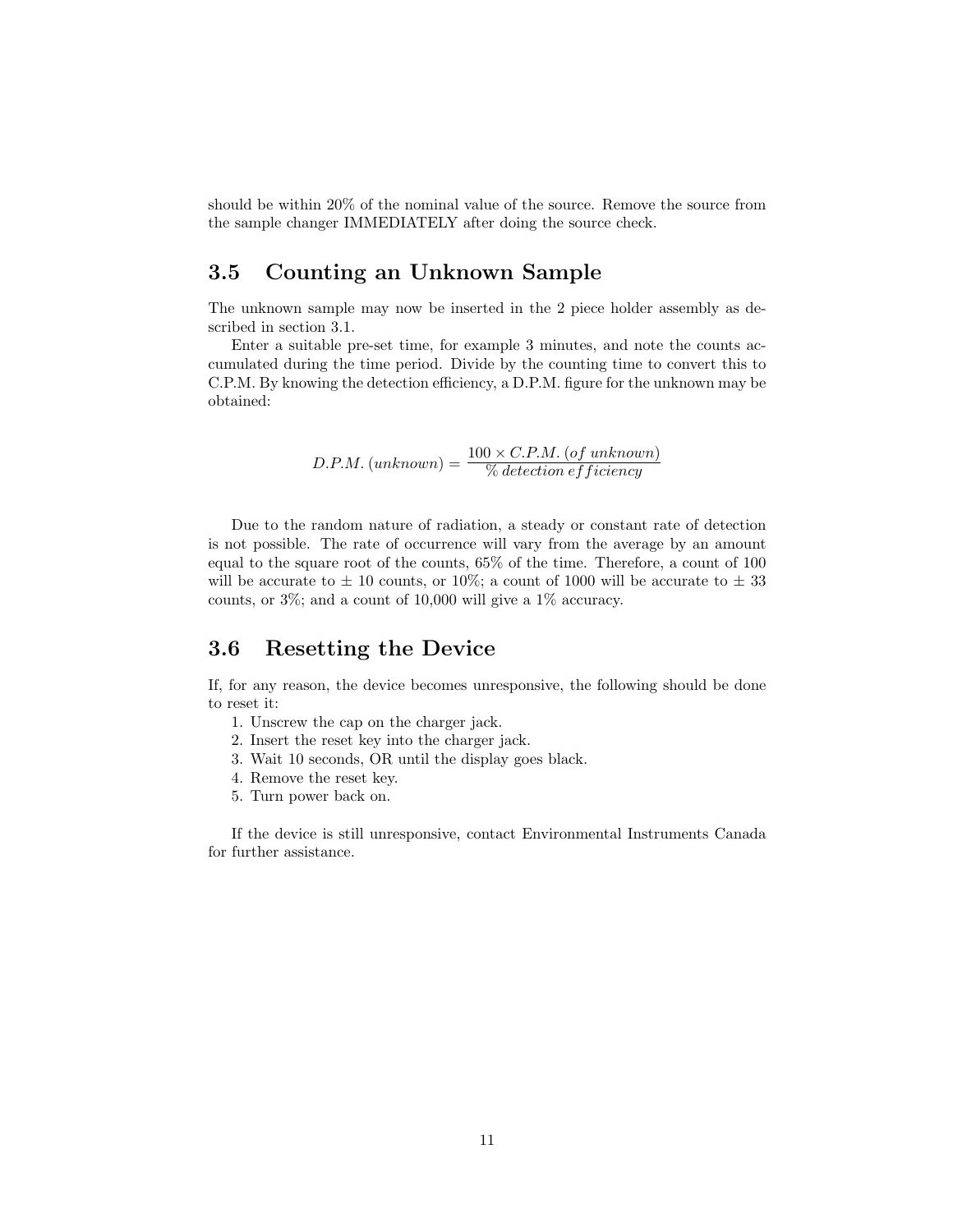should be within 20% of the nominal value of the source. Remove the source from the sample changer IMMEDIATELY after doing the source check.

#### <span id="page-11-0"></span>3.5 Counting an Unknown Sample

The unknown sample may now be inserted in the 2 piece holder assembly as described in [section 3.1.](#page-9-1)

Enter a suitable pre-set time, for example 3 minutes, and note the counts accumulated during the time period. Divide by the counting time to convert this to C.P.M. By knowing the detection efficiency, a D.P.M. figure for the unknown may be obtained:

$$
D.P.M. (unknown) = \frac{100 \times C.P.M. (of unknown)}{\% detection efficiency}
$$

Due to the random nature of radiation, a steady or constant rate of detection is not possible. The rate of occurrence will vary from the average by an amount equal to the square root of the counts, 65% of the time. Therefore, a count of 100 will be accurate to  $\pm$  10 counts, or 10%; a count of 1000 will be accurate to  $\pm$  33 counts, or 3%; and a count of 10,000 will give a 1% accuracy.

#### <span id="page-11-1"></span>3.6 Resetting the Device

If, for any reason, the device becomes unresponsive, the following should be done to reset it:

- 1. Unscrew the cap on the charger jack.
- 2. Insert the reset key into the charger jack.
- 3. Wait 10 seconds, OR until the display goes black.
- 4. Remove the reset key.
- 5. Turn power back on.

If the device is still unresponsive, contact Environmental Instruments Canada for further assistance.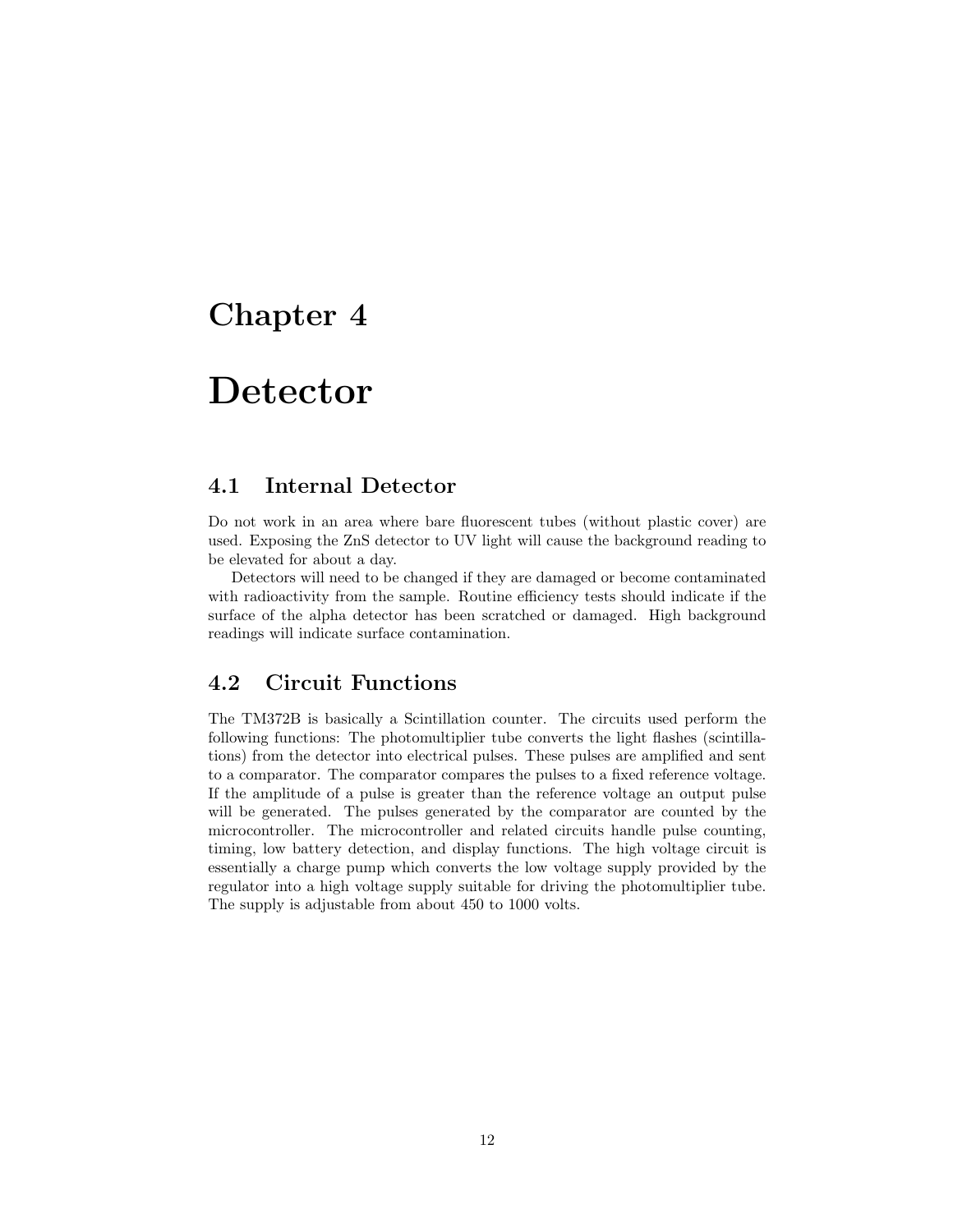### <span id="page-12-0"></span>Detector

#### <span id="page-12-1"></span>4.1 Internal Detector

Do not work in an area where bare fluorescent tubes (without plastic cover) are used. Exposing the ZnS detector to UV light will cause the background reading to be elevated for about a day.

Detectors will need to be changed if they are damaged or become contaminated with radioactivity from the sample. Routine efficiency tests should indicate if the surface of the alpha detector has been scratched or damaged. High background readings will indicate surface contamination.

#### <span id="page-12-2"></span>4.2 Circuit Functions

The TM372B is basically a Scintillation counter. The circuits used perform the following functions: The photomultiplier tube converts the light flashes (scintillations) from the detector into electrical pulses. These pulses are amplified and sent to a comparator. The comparator compares the pulses to a fixed reference voltage. If the amplitude of a pulse is greater than the reference voltage an output pulse will be generated. The pulses generated by the comparator are counted by the microcontroller. The microcontroller and related circuits handle pulse counting, timing, low battery detection, and display functions. The high voltage circuit is essentially a charge pump which converts the low voltage supply provided by the regulator into a high voltage supply suitable for driving the photomultiplier tube. The supply is adjustable from about 450 to 1000 volts.